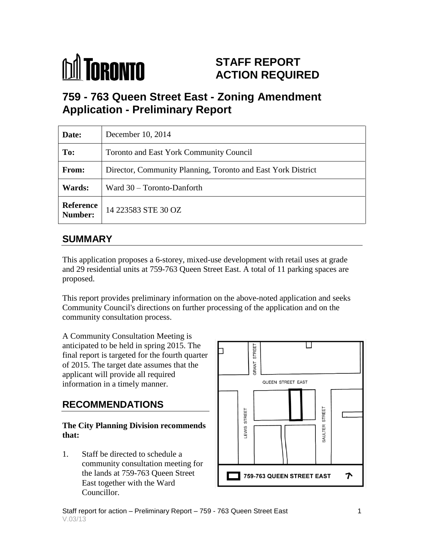

# **STAFF REPORT ACTION REQUIRED**

# **759 - 763 Queen Street East - Zoning Amendment Application - Preliminary Report**

| Date:                       | December 10, 2014                                            |  |  |  |  |  |
|-----------------------------|--------------------------------------------------------------|--|--|--|--|--|
| To:                         | <b>Toronto and East York Community Council</b>               |  |  |  |  |  |
| <b>From:</b>                | Director, Community Planning, Toronto and East York District |  |  |  |  |  |
| Wards:                      | Ward 30 – Toronto-Danforth                                   |  |  |  |  |  |
| <b>Reference</b><br>Number: | 14 223583 STE 30 OZ                                          |  |  |  |  |  |

## **SUMMARY**

This application proposes a 6-storey, mixed-use development with retail uses at grade and 29 residential units at 759-763 Queen Street East. A total of 11 parking spaces are proposed.

This report provides preliminary information on the above-noted application and seeks Community Council's directions on further processing of the application and on the community consultation process.

A Community Consultation Meeting is anticipated to be held in spring 2015. The final report is targeted for the fourth quarter of 2015. The target date assumes that the applicant will provide all required information in a timely manner.

# **RECOMMENDATIONS**

#### **The City Planning Division recommends that:**

1. Staff be directed to schedule a community consultation meeting for the lands at 759-763 Queen Street East together with the Ward Councillor.

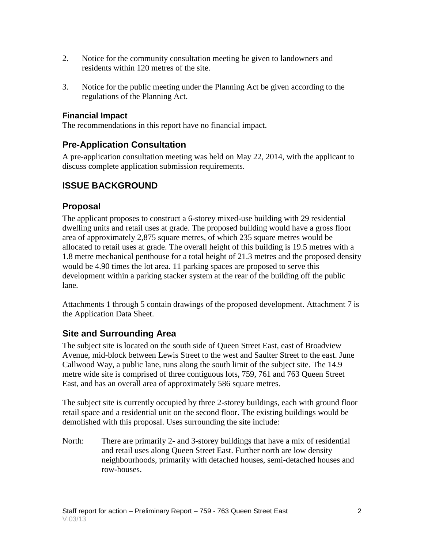- 2. Notice for the community consultation meeting be given to landowners and residents within 120 metres of the site.
- 3. Notice for the public meeting under the Planning Act be given according to the regulations of the Planning Act.

#### **Financial Impact**

The recommendations in this report have no financial impact.

#### **Pre-Application Consultation**

A pre-application consultation meeting was held on May 22, 2014, with the applicant to discuss complete application submission requirements.

#### **ISSUE BACKGROUND**

#### **Proposal**

The applicant proposes to construct a 6-storey mixed-use building with 29 residential dwelling units and retail uses at grade. The proposed building would have a gross floor area of approximately 2,875 square metres, of which 235 square metres would be allocated to retail uses at grade. The overall height of this building is 19.5 metres with a 1.8 metre mechanical penthouse for a total height of 21.3 metres and the proposed density would be 4.90 times the lot area. 11 parking spaces are proposed to serve this development within a parking stacker system at the rear of the building off the public lane.

Attachments 1 through 5 contain drawings of the proposed development. Attachment 7 is the Application Data Sheet.

#### **Site and Surrounding Area**

The subject site is located on the south side of Queen Street East, east of Broadview Avenue, mid-block between Lewis Street to the west and Saulter Street to the east. June Callwood Way, a public lane, runs along the south limit of the subject site. The 14.9 metre wide site is comprised of three contiguous lots, 759, 761 and 763 Queen Street East, and has an overall area of approximately 586 square metres.

The subject site is currently occupied by three 2-storey buildings, each with ground floor retail space and a residential unit on the second floor. The existing buildings would be demolished with this proposal. Uses surrounding the site include:

North: There are primarily 2- and 3-storey buildings that have a mix of residential and retail uses along Queen Street East. Further north are low density neighbourhoods, primarily with detached houses, semi-detached houses and row-houses.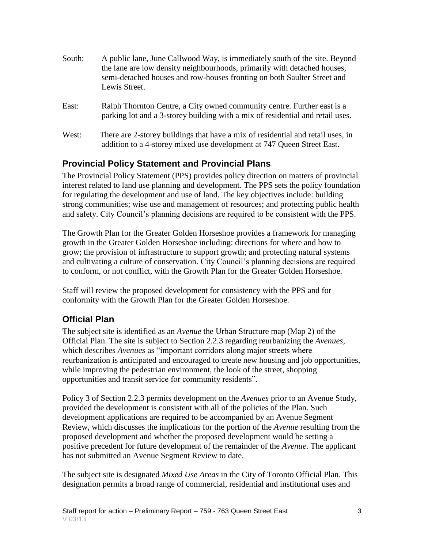| South: | A public lane, June Callwood Way, is immediately south of the site. Beyond<br>the lane are low density neighbourhoods, primarily with detached houses,<br>semi-detached houses and row-houses fronting on both Saulter Street and<br>Lewis Street. |
|--------|----------------------------------------------------------------------------------------------------------------------------------------------------------------------------------------------------------------------------------------------------|
| East:  | Ralph Thornton Centre, a City owned community centre. Further east is a<br>parking lot and a 3-storey building with a mix of residential and retail uses.                                                                                          |
| West:  | There are 2-storey buildings that have a mix of residential and retail uses, in<br>addition to a 4-storey mixed use development at 747 Queen Street East.                                                                                          |

#### **Provincial Policy Statement and Provincial Plans**

The Provincial Policy Statement (PPS) provides policy direction on matters of provincial interest related to land use planning and development. The PPS sets the policy foundation for regulating the development and use of land. The key objectives include: building strong communities; wise use and management of resources; and protecting public health and safety. City Council's planning decisions are required to be consistent with the PPS.

The Growth Plan for the Greater Golden Horseshoe provides a framework for managing growth in the Greater Golden Horseshoe including: directions for where and how to grow; the provision of infrastructure to support growth; and protecting natural systems and cultivating a culture of conservation. City Council's planning decisions are required to conform, or not conflict, with the Growth Plan for the Greater Golden Horseshoe.

Staff will review the proposed development for consistency with the PPS and for conformity with the Growth Plan for the Greater Golden Horseshoe.

## **Official Plan**

The subject site is identified as an *Avenue* the Urban Structure map (Map 2) of the Official Plan. The site is subject to Section 2.2.3 regarding reurbanizing the *Avenues*, which describes *Avenues* as "important corridors along major streets where reurbanization is anticipated and encouraged to create new housing and job opportunities, while improving the pedestrian environment, the look of the street, shopping opportunities and transit service for community residents".

Policy 3 of Section 2.2.3 permits development on the *Avenues* prior to an Avenue Study, provided the development is consistent with all of the policies of the Plan. Such development applications are required to be accompanied by an Avenue Segment Review, which discusses the implications for the portion of the *Avenue* resulting from the proposed development and whether the proposed development would be setting a positive precedent for future development of the remainder of the *Avenue*. The applicant has not submitted an Avenue Segment Review to date.

The subject site is designated *Mixed Use Areas* in the City of Toronto Official Plan. This designation permits a broad range of commercial, residential and institutional uses and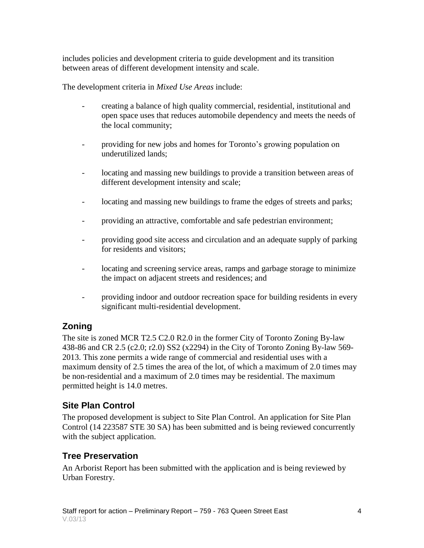includes policies and development criteria to guide development and its transition between areas of different development intensity and scale.

The development criteria in *Mixed Use Areas* include:

- creating a balance of high quality commercial, residential, institutional and open space uses that reduces automobile dependency and meets the needs of the local community;
- providing for new jobs and homes for Toronto's growing population on underutilized lands;
- locating and massing new buildings to provide a transition between areas of different development intensity and scale;
- locating and massing new buildings to frame the edges of streets and parks;
- providing an attractive, comfortable and safe pedestrian environment;
- providing good site access and circulation and an adequate supply of parking for residents and visitors;
- locating and screening service areas, ramps and garbage storage to minimize the impact on adjacent streets and residences; and
- providing indoor and outdoor recreation space for building residents in every significant multi-residential development.

## **Zoning**

The site is zoned MCR T2.5 C2.0 R2.0 in the former City of Toronto Zoning By-law 438-86 and CR 2.5 (c2.0; r2.0) SS2 (x2294) in the City of Toronto Zoning By-law 569- 2013. This zone permits a wide range of commercial and residential uses with a maximum density of 2.5 times the area of the lot, of which a maximum of 2.0 times may be non-residential and a maximum of 2.0 times may be residential. The maximum permitted height is 14.0 metres.

## **Site Plan Control**

The proposed development is subject to Site Plan Control. An application for Site Plan Control (14 223587 STE 30 SA) has been submitted and is being reviewed concurrently with the subject application.

## **Tree Preservation**

An Arborist Report has been submitted with the application and is being reviewed by Urban Forestry.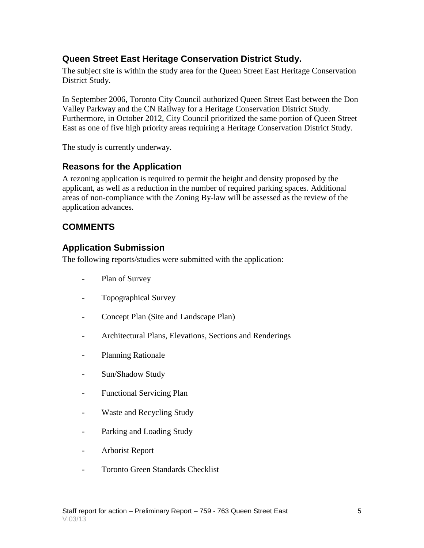#### **Queen Street East Heritage Conservation District Study.**

The subject site is within the study area for the Queen Street East Heritage Conservation District Study.

In September 2006, Toronto City Council authorized Queen Street East between the Don Valley Parkway and the CN Railway for a Heritage Conservation District Study. Furthermore, in October 2012, City Council prioritized the same portion of Queen Street East as one of five high priority areas requiring a Heritage Conservation District Study.

The study is currently underway.

#### **Reasons for the Application**

A rezoning application is required to permit the height and density proposed by the applicant, as well as a reduction in the number of required parking spaces. Additional areas of non-compliance with the Zoning By-law will be assessed as the review of the application advances.

#### **COMMENTS**

#### **Application Submission**

The following reports/studies were submitted with the application:

- Plan of Survey
- Topographical Survey
- Concept Plan (Site and Landscape Plan)
- Architectural Plans, Elevations, Sections and Renderings
- Planning Rationale
- Sun/Shadow Study
- Functional Servicing Plan
- Waste and Recycling Study
- Parking and Loading Study
- Arborist Report
- Toronto Green Standards Checklist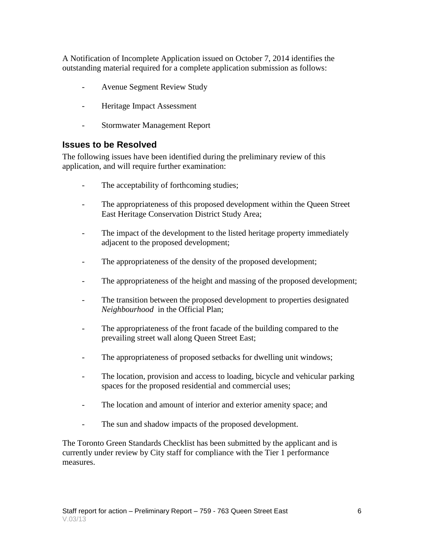A Notification of Incomplete Application issued on October 7, 2014 identifies the outstanding material required for a complete application submission as follows:

- Avenue Segment Review Study
- Heritage Impact Assessment
- Stormwater Management Report

#### **Issues to be Resolved**

The following issues have been identified during the preliminary review of this application, and will require further examination:

- The acceptability of forthcoming studies;
- The appropriateness of this proposed development within the Queen Street East Heritage Conservation District Study Area;
- The impact of the development to the listed heritage property immediately adjacent to the proposed development;
- The appropriateness of the density of the proposed development;
- The appropriateness of the height and massing of the proposed development;
- The transition between the proposed development to properties designated *Neighbourhood* in the Official Plan;
- The appropriateness of the front facade of the building compared to the prevailing street wall along Queen Street East;
- The appropriateness of proposed setbacks for dwelling unit windows;
- The location, provision and access to loading, bicycle and vehicular parking spaces for the proposed residential and commercial uses;
- The location and amount of interior and exterior amenity space; and
- The sun and shadow impacts of the proposed development.

The Toronto Green Standards Checklist has been submitted by the applicant and is currently under review by City staff for compliance with the Tier 1 performance measures.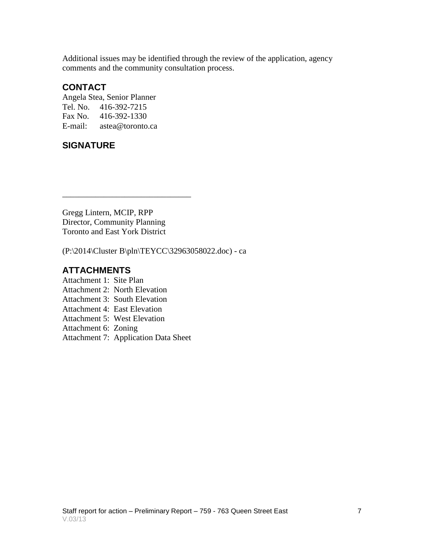Additional issues may be identified through the review of the application, agency comments and the community consultation process.

#### **CONTACT**

Angela Stea, Senior Planner Tel. No. 416-392-7215 Fax No. 416-392-1330 E-mail: astea@toronto.ca

## **SIGNATURE**

Gregg Lintern, MCIP, RPP Director, Community Planning Toronto and East York District

\_\_\_\_\_\_\_\_\_\_\_\_\_\_\_\_\_\_\_\_\_\_\_\_\_\_\_\_\_\_\_

(P:\2014\Cluster B\pln\TEYCC\32963058022.doc) - ca

#### **ATTACHMENTS**

- Attachment 1: Site Plan
- Attachment 2: North Elevation
- Attachment 3: South Elevation
- Attachment 4: East Elevation
- Attachment 5: West Elevation
- Attachment 6: Zoning
- Attachment 7: Application Data Sheet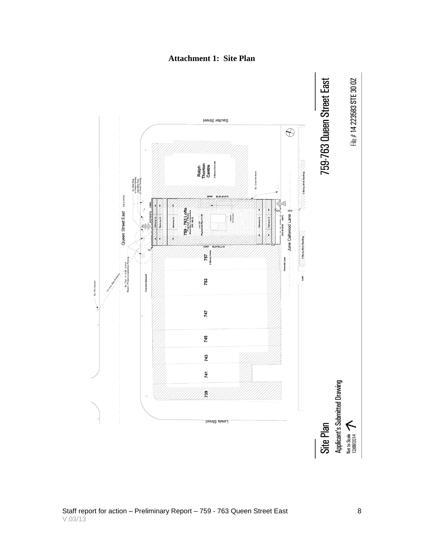

#### **Attachment 1: Site Plan**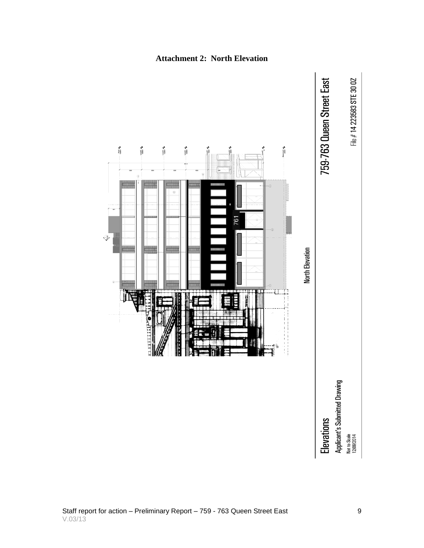

#### **Attachment 2: North Elevation**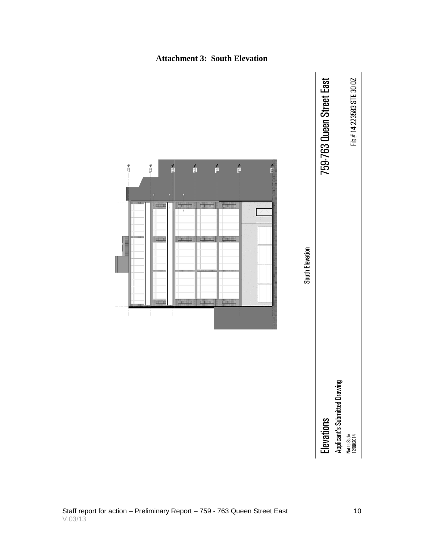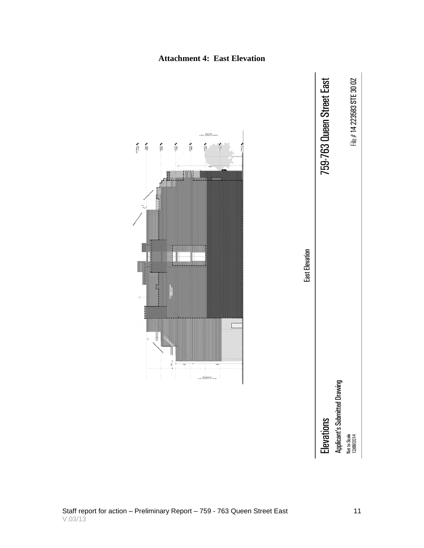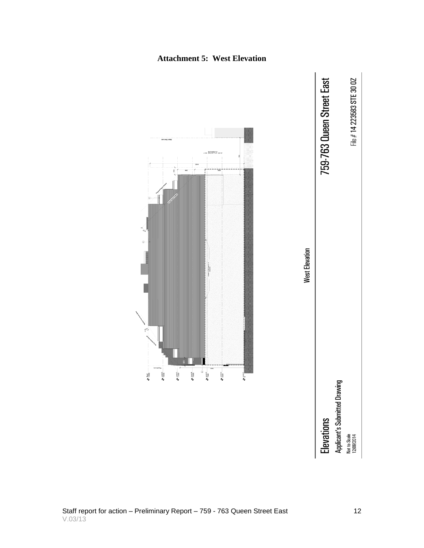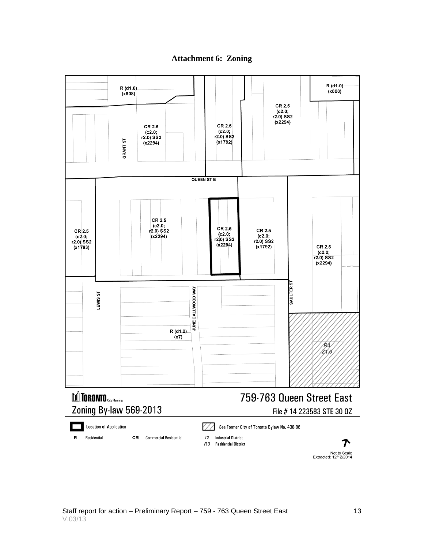



Not to Scale<br>Extracted: 12/12/2014